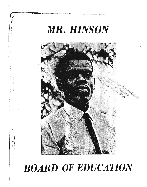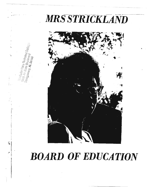



 $-3610s$ 

i Gi

░

## **BOARD OF EDUCATION**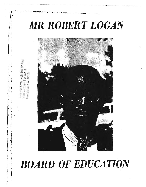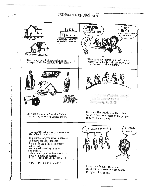## TRENHOLMTECH ARCHIVES

 $\pmb{\Lambda}$ 

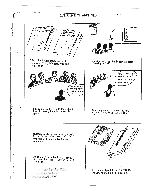